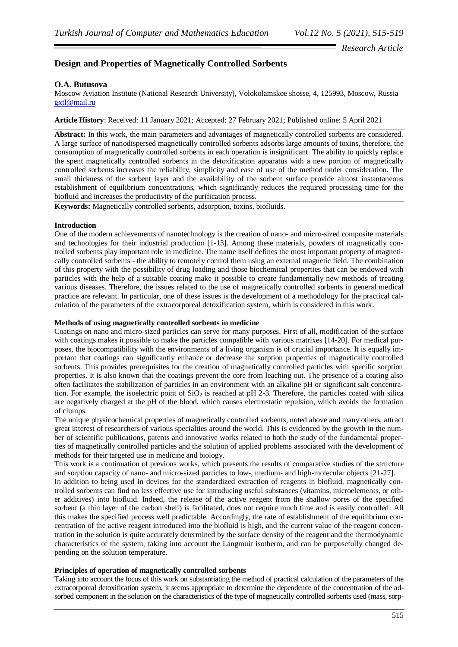## *Research Article*

# **Design and Properties of Magnetically Controlled Sorbents**

## **O.A. Butusova**

Moscow Aviation Institute (National Research University), Volokolamskoe shosse, 4, 125993, Moscow, Russia [gxtl@mail.ru](mailto:gxtl@mail.ru)

**Article History**: Received: 11 January 2021; Accepted: 27 February 2021; Published online: 5 April 2021

**Abstract:** In this work, the main parameters and advantages of magnetically controlled sorbents are considered. A large surface of nanodispersed magnetically controlled sorbents adsorbs large amounts of toxins, therefore, the consumption of magnetically controlled sorbents in each operation is insignificant. The ability to quickly replace the spent magnetically controlled sorbents in the detoxification apparatus with a new portion of magnetically controlled sorbents increases the reliability, simplicity and ease of use of the method under consideration. The small thickness of the sorbent layer and the availability of the sorbent surface provide almost instantaneous establishment of equilibrium concentrations, which significantly reduces the required processing time for the biofluid and increases the productivity of the purification process.

**Keywords:** Magnetically controlled sorbents, adsorption, toxins, biofluids.

#### **Introduction**

One of the modern achievements of nanotechnology is the creation of nano- and micro-sized composite materials and technologies for their industrial production [1-13]. Among these materials, powders of magnetically controlled sorbents play important role in medicine. The name itself defines the most important property of magnetically controlled sorbents - the ability to remotely control them using an external magnetic field. The combination of this property with the possibility of drug loading and those biochemical properties that can be endowed with particles with the help of a suitable coating make it possible to create fundamentally new methods of treating various diseases. Therefore, the issues related to the use of magnetically controlled sorbents in general medical practice are relevant. In particular, one of these issues is the development of a methodology for the practical calculation of the parameters of the extracorporeal detoxification system, which is considered in this work.

#### **Methods of using magnetically controlled sorbents in medicine**

Coatings on nano and micro-sized particles can serve for many purposes. First of all, modification of the surface with coatings makes it possible to make the particles compatible with various matrixes [14-20]. For medical purposes, the biocompatibility with the environments of a living organism is of crucial importance. It is equally important that coatings can significantly enhance or decrease the sorption properties of magnetically controlled sorbents. This provides prerequisites for the creation of magnetically controlled particles with specific sorption properties. It is also known that the coatings prevent the core from leaching out. The presence of a coating also often facilitates the stabilization of particles in an environment with an alkaline pH or significant salt concentration. For example, the isoelectric point of  $SiO<sub>2</sub>$  is reached at pH 2-3. Therefore, the particles coated with silica are negatively charged at the pH of the blood, which causes electrostatic repulsion, which avoids the formation of clumps.

The unique physicochemical properties of magnetically controlled sorbents, noted above and many others, attract great interest of researchers of various specialties around the world. This is evidenced by the growth in the number of scientific publications, patents and innovative works related to both the study of the fundamental properties of magnetically controlled particles and the solution of applied problems associated with the development of methods for their targeted use in medicine and biology.

This work is a continuation of previous works, which presents the results of comparative studies of the structure and sorption capacity of nano- and micro-sized particles to low-, medium- and high-molecular objects [21-27].

In addition to being used in devices for the standardized extraction of reagents in biofluid, magnetically controlled sorbents can find no less effective use for introducing useful substances (vitamins, microelements, or other additives) into biofluid. Indeed, the release of the active reagent from the shallow pores of the specified sorbent (a thin layer of the carbon shell) is facilitated, does not require much time and is easily controlled. All this makes the specified process well predictable. Accordingly, the rate of establishment of the equilibrium concentration of the active reagent introduced into the biofluid is high, and the current value of the reagent concentration in the solution is quite accurately determined by the surface density of the reagent and the thermodynamic characteristics of the system, taking into account the Langmuir isotherm, and can be purposefully changed depending on the solution temperature.

## **Principles of operation of magnetically controlled sorbents**

Taking into account the focus of this work on substantiating the method of practical calculation of the parameters of the extracorporeal detoxification system, it seems appropriate to determine the dependence of the concentration of the adsorbed component in the solution on the characteristics of the type of magnetically controlled sorbents used (mass, sorp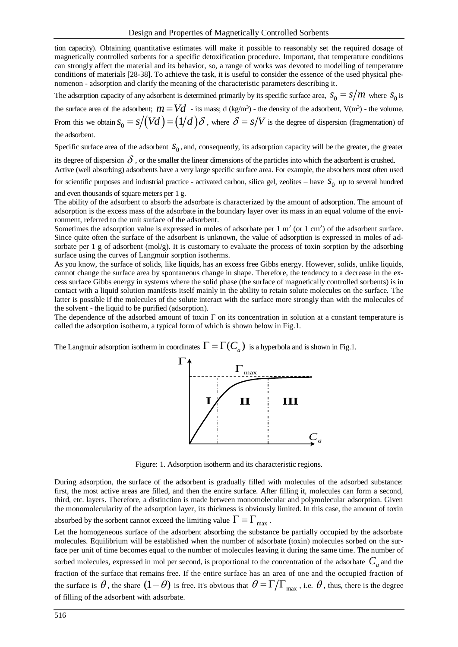tion capacity). Obtaining quantitative estimates will make it possible to reasonably set the required dosage of magnetically controlled sorbents for a specific detoxification procedure. Important, that temperature conditions can strongly affect the material and its behavior, so, a range of works was devoted to modelling of temperature conditions of materials [28-38]. To achieve the task, it is useful to consider the essence of the used physical phenomenon - adsorption and clarify the meaning of the characteristic parameters describing it.

The adsorption capacity of any adsorbent is determined primarily by its specific surface area,  $s_0 = s/m$  where  $s_0$  is

the surface area of the adsorbent;  $m = Vd$  - its mass; d (kg/m<sup>3</sup>) - the density of the adsorbent, V(m<sup>3</sup>) - the volume. From this we obtain  $s_0 = s/(Vd) = (1/d)\delta$  , where  $\delta = s/V$  is the degree of dispersion (fragmentation) of the adsorbent.

Specific surface area of the adsorbent  $S_0$ , and, consequently, its adsorption capacity will be the greater, the greater

its degree of dispersion  $\delta$  , or the smaller the linear dimensions of the particles into which the adsorbent is crushed. Active (well absorbing) adsorbents have a very large specific surface area. For example, the absorbers most often used

for scientific purposes and industrial practice - activated carbon, silica gel, zeolites – have  $S_0$  up to several hundred and even thousands of square meters per 1 g.

The ability of the adsorbent to absorb the adsorbate is characterized by the amount of adsorption. The amount of adsorption is the excess mass of the adsorbate in the boundary layer over its mass in an equal volume of the environment, referred to the unit surface of the adsorbent.

Sometimes the adsorption value is expressed in moles of adsorbate per  $1 \text{ m}^2$  (or  $1 \text{ cm}^2$ ) of the adsorbent surface. Since quite often the surface of the adsorbent is unknown, the value of adsorption is expressed in moles of adsorbate per 1 g of adsorbent (mol/g). It is customary to evaluate the process of toxin sorption by the adsorbing surface using the curves of Langmuir sorption isotherms.

As you know, the surface of solids, like liquids, has an excess free Gibbs energy. However, solids, unlike liquids, cannot change the surface area by spontaneous change in shape. Therefore, the tendency to a decrease in the excess surface Gibbs energy in systems where the solid phase (the surface of magnetically controlled sorbents) is in contact with a liquid solution manifests itself mainly in the ability to retain solute molecules on the surface. The latter is possible if the molecules of the solute interact with the surface more strongly than with the molecules of the solvent - the liquid to be purified (adsorption).

The dependence of the adsorbed amount of toxin  $\Gamma$  on its concentration in solution at a constant temperature is called the adsorption isotherm, a typical form of which is shown below in Fig.1.

The Langmuir adsorption isotherm in coordinates  $\Gamma=\Gamma(C_a)$  is a hyperbola and is shown in Fig.1.



Figure: 1. Adsorption isotherm and its characteristic regions.

During adsorption, the surface of the adsorbent is gradually filled with molecules of the adsorbed substance: first, the most active areas are filled, and then the entire surface. After filling it, molecules can form a second, third, etc. layers. Therefore, a distinction is made between monomolecular and polymolecular adsorption. Given the monomolecularity of the adsorption layer, its thickness is obviously limited. In this case, the amount of toxin absorbed by the sorbent cannot exceed the limiting value  $\Gamma=\Gamma_{\rm max}$  .

Let the homogeneous surface of the adsorbent absorbing the substance be partially occupied by the adsorbate molecules. Equilibrium will be established when the number of adsorbate (toxin) molecules sorbed on the surface per unit of time becomes equal to the number of molecules leaving it during the same time. The number of sorbed molecules, expressed in mol per second, is proportional to the concentration of the adsorbate  $C_a$  and the fraction of the surface that remains free. If the entire surface has an area of one and the occupied fraction of the surface is  $\theta$ , the share  $(1-\theta)$  is free. It's obvious that  $\theta = \Gamma/\Gamma_{\max}$ , i.e.  $\theta$ , thus, there is the degree of filling of the adsorbent with adsorbate.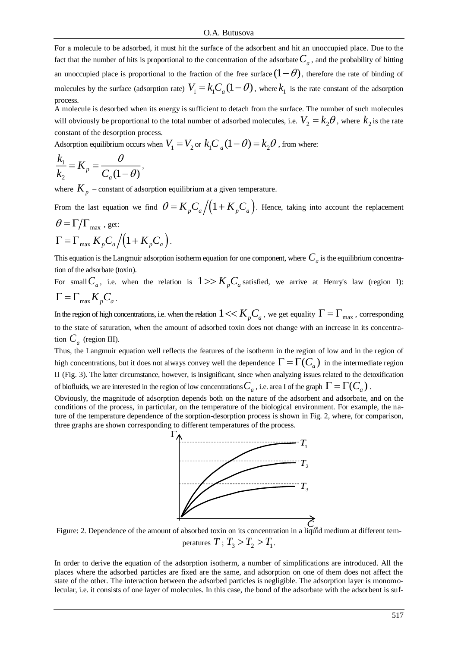For a molecule to be adsorbed, it must hit the surface of the adsorbent and hit an unoccupied place. Due to the fact that the number of hits is proportional to the concentration of the adsorbate  $C_a$ , and the probability of hitting an unoccupied place is proportional to the fraction of the free surface  $(1 - \theta)$ , therefore the rate of binding of molecules by the surface (adsorption rate)  $V_1 = k_1 C_a (1 - \theta)$ , where  $k_1$  is the rate constant of the adsorption process.

A molecule is desorbed when its energy is sufficient to detach from the surface. The number of such molecules will obviously be proportional to the total number of adsorbed molecules, i.e.  $V_2 = k_2 \theta$ , where  $k_2$  is the rate constant of the desorption process.

Adsorption equilibrium occurs when  $V^{}_1 = V^{}_2$  or  $k^{}_1C^{}_{\phantom{1}a}(1-\theta) = k^{}_2\theta$  , from where:

$$
\frac{k_1}{k_2} = K_p = \frac{\theta}{C_a(1-\theta)},
$$

where  $K_p$  – constant of adsorption equilibrium at a given temperature.

From the last equation we find  $\theta = K_{p}C_{a}/(1+K_{p}C_{a})$ . Hence, taking into account the replacement  $\theta = \Gamma/\Gamma_{\text{max}}$ , get:

$$
\Gamma = \Gamma_{\text{max}} K_p C_a \Big/ \Big( 1 + K_p C_a \Big).
$$

This equation is the Langmuir adsorption isotherm equation for one component, where  $\,C_{_a}$  is the equilibrium concentration of the adsorbate (toxin).

For small  $C_a$ , i.e. when the relation is  $1 \gg K_p C_a$  satisfied, we arrive at Henry's law (region I):  $\Gamma = \Gamma_{\text{max}} K_p C_a$ .

In the region of high concentrations, i.e. when the relation  $1 << K_{p}C_{a}$  , we get equality  $\Gamma = \Gamma_{\max}$  , corresponding to the state of saturation, when the amount of adsorbed toxin does not change with an increase in its concentration  $C_a$  (region III).

Thus, the Langmuir equation well reflects the features of the isotherm in the region of low and in the region of high concentrations, but it does not always convey well the dependence  $\Gamma = \Gamma(C_a)$  in the intermediate region II (Fig. 3). The latter circumstance, however, is insignificant, since when analyzing issues related to the detoxification of biofluids, we are interested in the region of low concentrations  $C_{_a}$  , i.e. area I of the graph  $\Gamma=\Gamma(C_{_a})$  .

Obviously, the magnitude of adsorption depends both on the nature of the adsorbent and adsorbate, and on the conditions of the process, in particular, on the temperature of the biological environment. For example, the nature of the temperature dependence of the sorption-desorption process is shown in Fig. 2, where, for comparison, three graphs are shown corresponding to different temperatures of the process.



Figure: 2. Dependence of the amount of absorbed toxin on its concentration in a liquid medium at different tem-*C* peratures  $T$  ;  $T_{\scriptscriptstyle 3} > T_{\scriptscriptstyle 2} > T_{\scriptscriptstyle 1}$  .

In order to derive the equation of the adsorption isotherm, a number of simplifications are introduced. All the places where the adsorbed particles are fixed are the same, and adsorption on one of them does not affect the state of the other. The interaction between the adsorbed particles is negligible. The adsorption layer is monomolecular, i.e. it consists of one layer of molecules. In this case, the bond of the adsorbate with the adsorbent is suf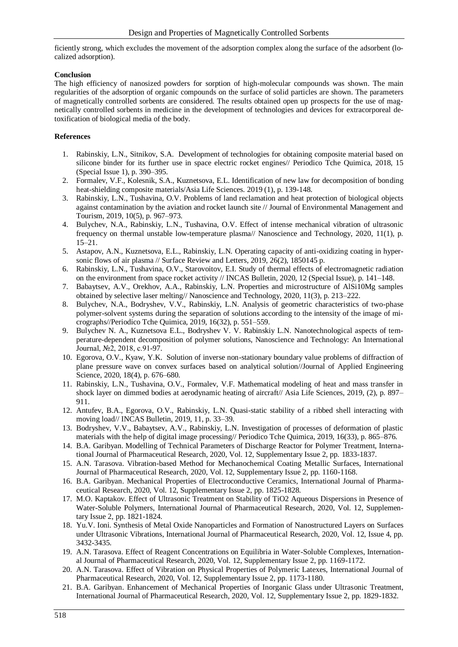ficiently strong, which excludes the movement of the adsorption complex along the surface of the adsorbent (localized adsorption).

#### **Conclusion**

The high efficiency of nanosized powders for sorption of high-molecular compounds was shown. The main regularities of the adsorption of organic compounds on the surface of solid particles are shown. The parameters of magnetically controlled sorbents are considered. The results obtained open up prospects for the use of magnetically controlled sorbents in medicine in the development of technologies and devices for extracorporeal detoxification of biological media of the body.

### **References**

- 1. Rabinskiy, L.N., Sitnikov, S.A. Development of technologies for obtaining composite material based on silicone binder for its further use in space electric rocket engines// Periodico Tche Quimica, 2018, 15 (Special Issue 1), p. 390–395.
- 2. Formalev, V.F., Kolesnik, S.A., Kuznetsova, E.L. Identification of new law for decomposition of bonding heat-shielding composite materials/Asia Life Sciences. 2019 (1), p. 139-148.
- 3. Rabinskiy, L.N., Tushavina, O.V. Problems of land reclamation and heat protection of biological objects against contamination by the aviation and rocket launch site // Journal of Environmental Management and Tourism, 2019, 10(5), p. 967–973.
- 4. Bulychev, N.A., Rabinskiy, L.N., Tushavina, O.V. Effect of intense mechanical vibration of ultrasonic frequency on thermal unstable low-temperature plasma// Nanoscience and Technology, 2020, 11(1), p. 15–21.
- 5. Astapov, A.N., Kuznetsova, E.L., Rabinskiy, L.N. Operating capacity of anti-oxidizing coating in hypersonic flows of air plasma // Surface Review and Letters, 2019, 26(2), 1850145 p.
- 6. Rabinskiy, L.N., Tushavina, O.V., Starovoitov, E.I. Study of thermal effects of electromagnetic radiation on the environment from space rocket activity // INCAS Bulletin, 2020, 12 (Special Issue), p. 141–148.
- 7. Babaytsev, A.V., Orekhov, A.A., Rabinskiy, L.N. Properties and microstructure of AlSi10Mg samples obtained by selective laser melting// Nanoscience and Technology, 2020, 11(3), p. 213–222.
- 8. Bulychev, N.A., Bodryshev, V.V., Rabinskiy, L.N. Analysis of geometric characteristics of two-phase polymer-solvent systems during the separation of solutions according to the intensity of the image of micrographs//Periodico Tche Quimica, 2019, 16(32), p. 551–559.
- 9. Bulychev N. A., Kuznetsova E.L., Bodryshev V. V. Rabinskiy L.N. Nanotechnological aspects of temperature-dependent decomposition of polymer solutions, Nanoscience and Technology: An International Journal, №2, 2018, с.91-97.
- 10. Egorova, O.V., Kyaw, Y.K. Solution of inverse non-stationary boundary value problems of diffraction of plane pressure wave on convex surfaces based on analytical solution//Journal of Applied Engineering Science, 2020, 18(4), p. 676–680.
- 11. Rabinskiy, L.N., Tushavina, O.V., Formalev, V.F. Mathematical modeling of heat and mass transfer in shock layer on dimmed bodies at aerodynamic heating of aircraft// Asia Life Sciences, 2019, (2), p. 897– 911.
- 12. Antufev, B.A., Egorova, O.V., Rabinskiy, L.N. Quasi-static stability of a ribbed shell interacting with moving load// INCAS Bulletin, 2019, 11, p. 33–39.
- 13. Bodryshev, V.V., Babaytsev, A.V., Rabinskiy, L.N. Investigation of processes of deformation of plastic materials with the help of digital image processing// Periodico Tche Quimica, 2019, 16(33), p. 865–876.
- 14. B.A. Garibyan. Modelling of Technical Parameters of Discharge Reactor for Polymer Treatment, International Journal of Pharmaceutical Research, 2020, Vol. 12, Supplementary Issue 2, pp. 1833-1837.
- 15. A.N. Tarasova. Vibration-based Method for Mechanochemical Coating Metallic Surfaces, International Journal of Pharmaceutical Research, 2020, Vol. 12, Supplementary Issue 2, pp. 1160-1168.
- 16. B.A. Garibyan. Mechanical Properties of Electroconductive Ceramics, International Journal of Pharmaceutical Research, 2020, Vol. 12, Supplementary Issue 2, pp. 1825-1828.
- 17. M.O. Kaptakov. Effect of Ultrasonic Treatment on Stability of TiO2 Aqueous Dispersions in Presence of Water-Soluble Polymers, International Journal of Pharmaceutical Research, 2020, Vol. 12, Supplementary Issue 2, pp. 1821-1824.
- 18. Yu.V. Ioni. Synthesis of Metal Oxide Nanoparticles and Formation of Nanostructured Layers on Surfaces under Ultrasonic Vibrations, International Journal of Pharmaceutical Research, 2020, Vol. 12, Issue 4, pp. 3432-3435.
- 19. A.N. Tarasova. Effect of Reagent Concentrations on Equilibria in Water-Soluble Complexes, International Journal of Pharmaceutical Research, 2020, Vol. 12, Supplementary Issue 2, pp. 1169-1172.
- 20. A.N. Tarasova. Effect of Vibration on Physical Properties of Polymeric Latexes, International Journal of Pharmaceutical Research, 2020, Vol. 12, Supplementary Issue 2, pp. 1173-1180.
- 21. B.A. Garibyan. Enhancement of Mechanical Properties of Inorganic Glass under Ultrasonic Treatment, International Journal of Pharmaceutical Research, 2020, Vol. 12, Supplementary Issue 2, pp. 1829-1832.